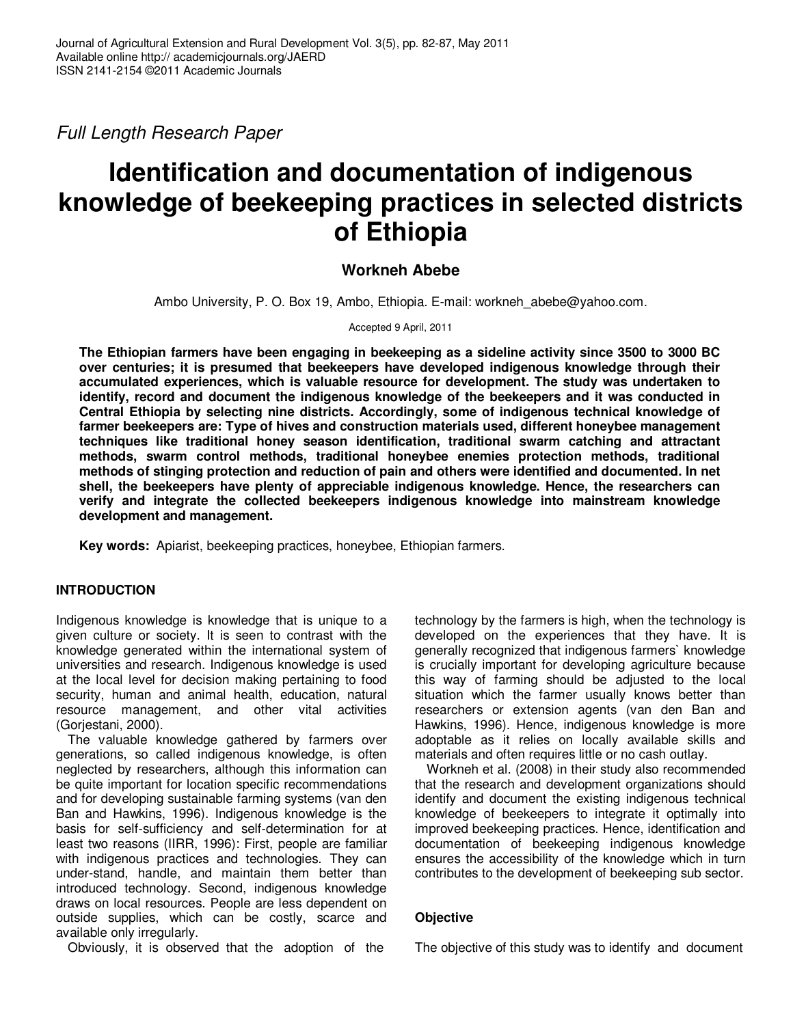Full Length Research Paper

# **Identification and documentation of indigenous knowledge of beekeeping practices in selected districts of Ethiopia**

# **Workneh Abebe**

Ambo University, P. O. Box 19, Ambo, Ethiopia. E-mail: workneh\_abebe@yahoo.com.

Accepted 9 April, 2011

**The Ethiopian farmers have been engaging in beekeeping as a sideline activity since 3500 to 3000 BC over centuries; it is presumed that beekeepers have developed indigenous knowledge through their accumulated experiences, which is valuable resource for development. The study was undertaken to identify, record and document the indigenous knowledge of the beekeepers and it was conducted in Central Ethiopia by selecting nine districts. Accordingly, some of indigenous technical knowledge of farmer beekeepers are: Type of hives and construction materials used, different honeybee management techniques like traditional honey season identification, traditional swarm catching and attractant methods, swarm control methods, traditional honeybee enemies protection methods, traditional methods of stinging protection and reduction of pain and others were identified and documented. In net shell, the beekeepers have plenty of appreciable indigenous knowledge. Hence, the researchers can verify and integrate the collected beekeepers indigenous knowledge into mainstream knowledge development and management.** 

**Key words:** Apiarist, beekeeping practices, honeybee, Ethiopian farmers.

# **INTRODUCTION**

Indigenous knowledge is knowledge that is unique to a given culture or society. It is seen to contrast with the knowledge generated within the international system of universities and research. Indigenous knowledge is used at the local level for decision making pertaining to food security, human and animal health, education, natural resource management, and other vital activities (Gorjestani, 2000).

The valuable knowledge gathered by farmers over generations, so called indigenous knowledge, is often neglected by researchers, although this information can be quite important for location specific recommendations and for developing sustainable farming systems (van den Ban and Hawkins, 1996). Indigenous knowledge is the basis for self-sufficiency and self-determination for at least two reasons (IIRR, 1996): First, people are familiar with indigenous practices and technologies. They can under-stand, handle, and maintain them better than introduced technology. Second, indigenous knowledge draws on local resources. People are less dependent on outside supplies, which can be costly, scarce and available only irregularly.

Obviously, it is observed that the adoption of the

technology by the farmers is high, when the technology is developed on the experiences that they have. It is generally recognized that indigenous farmers` knowledge is crucially important for developing agriculture because this way of farming should be adjusted to the local situation which the farmer usually knows better than researchers or extension agents (van den Ban and Hawkins, 1996). Hence, indigenous knowledge is more adoptable as it relies on locally available skills and materials and often requires little or no cash outlay.

Workneh et al. (2008) in their study also recommended that the research and development organizations should identify and document the existing indigenous technical knowledge of beekeepers to integrate it optimally into improved beekeeping practices. Hence, identification and documentation of beekeeping indigenous knowledge ensures the accessibility of the knowledge which in turn contributes to the development of beekeeping sub sector.

# **Objective**

The objective of this study was to identify and document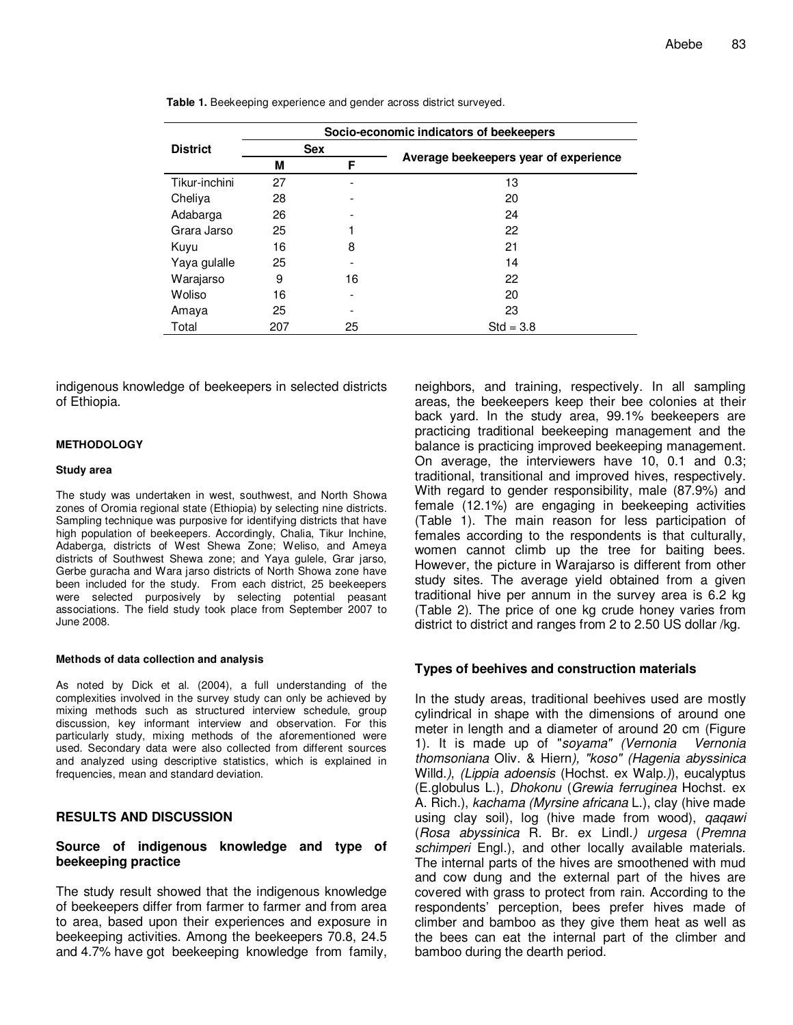| Socio-economic indicators of beekeepers |            |    |                                       |  |  |
|-----------------------------------------|------------|----|---------------------------------------|--|--|
| <b>District</b>                         | <b>Sex</b> |    |                                       |  |  |
|                                         | М          | F  | Average beekeepers year of experience |  |  |
| Tikur-inchini                           | 27         |    | 13                                    |  |  |
| Cheliya                                 | 28         |    | 20                                    |  |  |
| Adabarga                                | 26         |    | 24                                    |  |  |
| Grara Jarso                             | 25         |    | 22                                    |  |  |
| Kuyu                                    | 16         | 8  | 21                                    |  |  |
| Yaya gulalle                            | 25         |    | 14                                    |  |  |
| Warajarso                               | 9          | 16 | 22                                    |  |  |
| Woliso                                  | 16         |    | 20                                    |  |  |
| Amaya                                   | 25         |    | 23                                    |  |  |
| Total                                   | 207        | 25 | $Std = 3.8$                           |  |  |

**Table 1.** Beekeeping experience and gender across district surveyed.

indigenous knowledge of beekeepers in selected districts of Ethiopia.

#### **METHODOLOGY**

#### **Study area**

The study was undertaken in west, southwest, and North Showa zones of Oromia regional state (Ethiopia) by selecting nine districts. Sampling technique was purposive for identifying districts that have high population of beekeepers. Accordingly, Chalia, Tikur Inchine, Adaberga, districts of West Shewa Zone; Weliso, and Ameya districts of Southwest Shewa zone; and Yaya gulele, Grar jarso, Gerbe guracha and Wara jarso districts of North Showa zone have been included for the study. From each district, 25 beekeepers were selected purposively by selecting potential peasant associations. The field study took place from September 2007 to June 2008.

#### **Methods of data collection and analysis**

As noted by Dick et al. (2004), a full understanding of the complexities involved in the survey study can only be achieved by mixing methods such as structured interview schedule, group discussion, key informant interview and observation. For this particularly study, mixing methods of the aforementioned were used. Secondary data were also collected from different sources and analyzed using descriptive statistics, which is explained in frequencies, mean and standard deviation.

#### **RESULTS AND DISCUSSION**

#### **Source of indigenous knowledge and type of beekeeping practice**

The study result showed that the indigenous knowledge of beekeepers differ from farmer to farmer and from area to area, based upon their experiences and exposure in beekeeping activities. Among the beekeepers 70.8, 24.5 and 4.7% have got beekeeping knowledge from family, neighbors, and training, respectively. In all sampling areas, the beekeepers keep their bee colonies at their back yard. In the study area, 99.1% beekeepers are practicing traditional beekeeping management and the balance is practicing improved beekeeping management. On average, the interviewers have 10, 0.1 and 0.3; traditional, transitional and improved hives, respectively. With regard to gender responsibility, male (87.9%) and female (12.1%) are engaging in beekeeping activities (Table 1). The main reason for less participation of females according to the respondents is that culturally, women cannot climb up the tree for baiting bees. However, the picture in Warajarso is different from other study sites. The average yield obtained from a given traditional hive per annum in the survey area is 6.2 kg (Table 2). The price of one kg crude honey varies from district to district and ranges from 2 to 2.50 US dollar /kg.

#### **Types of beehives and construction materials**

In the study areas, traditional beehives used are mostly cylindrical in shape with the dimensions of around one meter in length and a diameter of around 20 cm (Figure 1). It is made up of "soyama" (Vernonia Vernonia thomsoniana Oliv. & Hiern), "koso" (Hagenia abyssinica Willd.), *(Lippia adoensis* (Hochst. ex Walp.)), eucalyptus (E.globulus L.), Dhokonu (Grewia ferruginea Hochst. ex A. Rich.), kachama (Myrsine africana L.), clay (hive made using clay soil), log (hive made from wood), qaqawi (Rosa abyssinica R. Br. ex Lindl.) urgesa (Premna schimperi Engl.), and other locally available materials. The internal parts of the hives are smoothened with mud and cow dung and the external part of the hives are covered with grass to protect from rain. According to the respondents' perception, bees prefer hives made of climber and bamboo as they give them heat as well as the bees can eat the internal part of the climber and bamboo during the dearth period.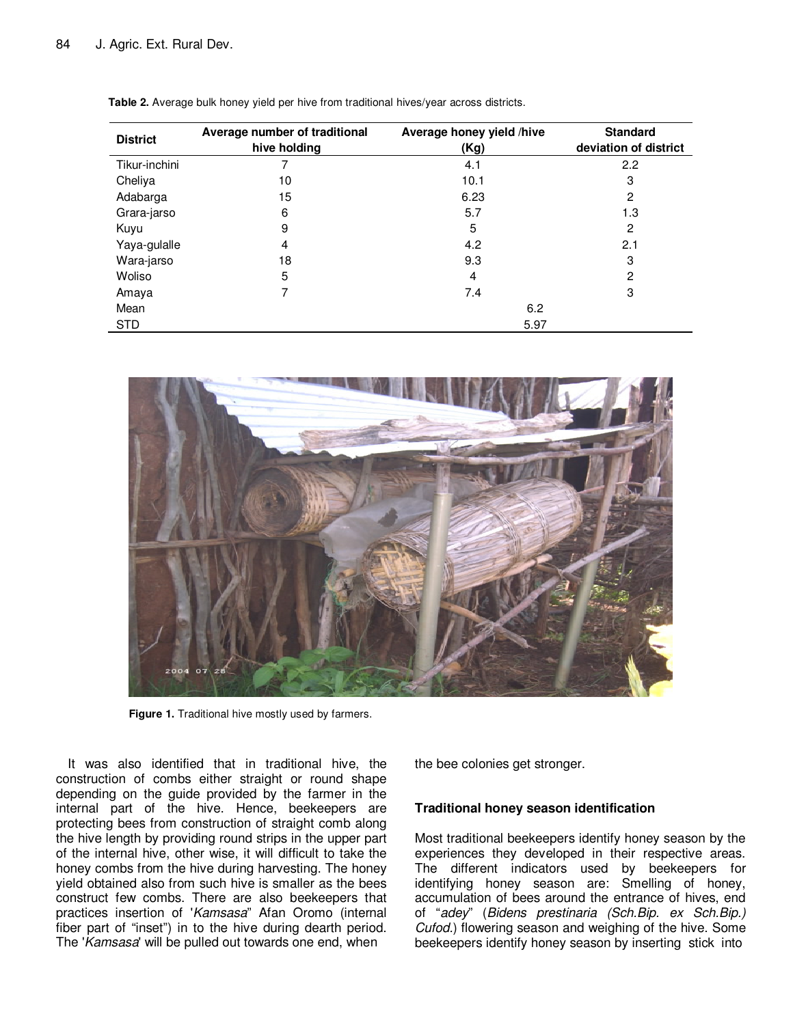| <b>District</b> | Average number of traditional<br>hive holding | Average honey yield /hive<br>(Kg) | <b>Standard</b><br>deviation of district |  |  |
|-----------------|-----------------------------------------------|-----------------------------------|------------------------------------------|--|--|
| Tikur-inchini   |                                               | 4.1                               | 2.2                                      |  |  |
| Cheliya         | 10                                            | 10.1                              | 3                                        |  |  |
| Adabarga        | 15                                            | 6.23                              | 2                                        |  |  |
| Grara-jarso     | 6                                             | 5.7                               | 1.3                                      |  |  |
| Kuyu            | 9                                             | 5                                 | 2                                        |  |  |
| Yaya-gulalle    | 4                                             | 4.2                               | 2.1                                      |  |  |
| Wara-jarso      | 18                                            | 9.3                               | 3                                        |  |  |
| Woliso          | 5                                             | 4                                 | 2                                        |  |  |
| Amaya           | 7                                             | 7.4                               | 3                                        |  |  |
| Mean            |                                               | 6.2                               |                                          |  |  |
| <b>STD</b>      |                                               | 5.97                              |                                          |  |  |

**Table 2.** Average bulk honey yield per hive from traditional hives/year across districts.



 **Figure 1.** Traditional hive mostly used by farmers.

It was also identified that in traditional hive, the construction of combs either straight or round shape depending on the guide provided by the farmer in the internal part of the hive. Hence, beekeepers are protecting bees from construction of straight comb along the hive length by providing round strips in the upper part of the internal hive, other wise, it will difficult to take the honey combs from the hive during harvesting. The honey yield obtained also from such hive is smaller as the bees construct few combs. There are also beekeepers that practices insertion of 'Kamsasa" Afan Oromo (internal fiber part of "inset") in to the hive during dearth period. The 'Kamsasa' will be pulled out towards one end, when

the bee colonies get stronger.

#### **Traditional honey season identification**

Most traditional beekeepers identify honey season by the experiences they developed in their respective areas. The different indicators used by beekeepers for identifying honey season are: Smelling of honey, accumulation of bees around the entrance of hives, end of "adey" (Bidens prestinaria (Sch.Bip. ex Sch.Bip.) Cufod.) flowering season and weighing of the hive. Some beekeepers identify honey season by inserting stick into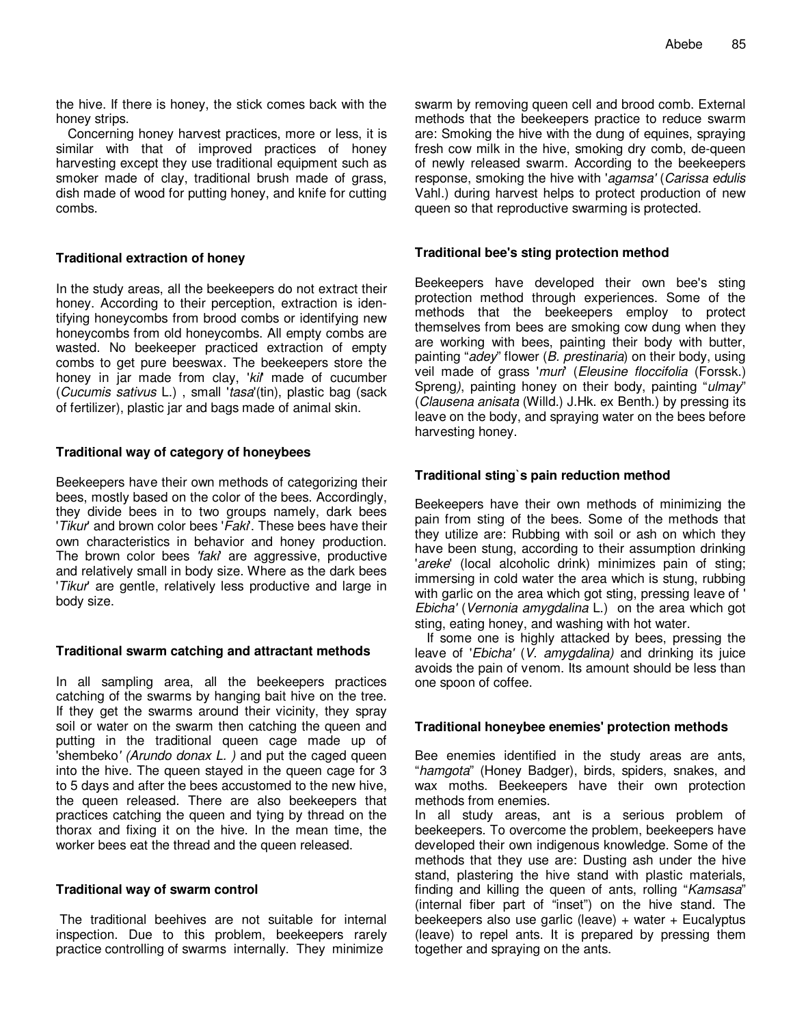the hive. If there is honey, the stick comes back with the honey strips.

Concerning honey harvest practices, more or less, it is similar with that of improved practices of honey harvesting except they use traditional equipment such as smoker made of clay, traditional brush made of grass, dish made of wood for putting honey, and knife for cutting combs.

### **Traditional extraction of honey**

In the study areas, all the beekeepers do not extract their honey. According to their perception, extraction is identifying honeycombs from brood combs or identifying new honeycombs from old honeycombs. All empty combs are wasted. No beekeeper practiced extraction of empty combs to get pure beeswax. The beekeepers store the honey in jar made from clay, 'kil' made of cucumber (Cucumis sativus L.) , small 'tasa'(tin), plastic bag (sack of fertilizer), plastic jar and bags made of animal skin.

## **Traditional way of category of honeybees**

Beekeepers have their own methods of categorizing their bees, mostly based on the color of the bees. Accordingly, they divide bees in to two groups namely, dark bees 'Tikur' and brown color bees 'Faki'. These bees have their own characteristics in behavior and honey production. The brown color bees 'faki' are aggressive, productive and relatively small in body size. Where as the dark bees 'Tikur' are gentle, relatively less productive and large in body size.

## **Traditional swarm catching and attractant methods**

In all sampling area, all the beekeepers practices catching of the swarms by hanging bait hive on the tree. If they get the swarms around their vicinity, they spray soil or water on the swarm then catching the queen and putting in the traditional queen cage made up of 'shembeko' (Arundo donax L. ) and put the caged queen into the hive. The queen stayed in the queen cage for 3 to 5 days and after the bees accustomed to the new hive, the queen released. There are also beekeepers that practices catching the queen and tying by thread on the thorax and fixing it on the hive. In the mean time, the worker bees eat the thread and the queen released.

#### **Traditional way of swarm control**

 The traditional beehives are not suitable for internal inspection. Due to this problem, beekeepers rarely practice controlling of swarms internally. They minimize

swarm by removing queen cell and brood comb. External methods that the beekeepers practice to reduce swarm are: Smoking the hive with the dung of equines, spraying fresh cow milk in the hive, smoking dry comb, de-queen of newly released swarm. According to the beekeepers response, smoking the hive with 'agamsa' (Carissa edulis Vahl.) during harvest helps to protect production of new queen so that reproductive swarming is protected.

### **Traditional bee's sting protection method**

Beekeepers have developed their own bee's sting protection method through experiences. Some of the methods that the beekeepers employ to protect themselves from bees are smoking cow dung when they are working with bees, painting their body with butter, painting "adey" flower (B. prestinaria) on their body, using veil made of grass 'muri' (Eleusine floccifolia (Forssk.) Spreng), painting honey on their body, painting "ulmay" (Clausena anisata (Willd.) J.Hk. ex Benth.) by pressing its leave on the body, and spraying water on the bees before harvesting honey.

### **Traditional sting`s pain reduction method**

Beekeepers have their own methods of minimizing the pain from sting of the bees. Some of the methods that they utilize are: Rubbing with soil or ash on which they have been stung, according to their assumption drinking 'areke' (local alcoholic drink) minimizes pain of sting; immersing in cold water the area which is stung, rubbing with garlic on the area which got sting, pressing leave of ' Ebicha' (Vernonia amygdalina L.) on the area which got sting, eating honey, and washing with hot water.

If some one is highly attacked by bees, pressing the leave of 'Ebicha' (V. amygdalina) and drinking its juice avoids the pain of venom. Its amount should be less than one spoon of coffee.

#### **Traditional honeybee enemies' protection methods**

Bee enemies identified in the study areas are ants, "hamgota" (Honey Badger), birds, spiders, snakes, and wax moths. Beekeepers have their own protection methods from enemies.

In all study areas, ant is a serious problem of beekeepers. To overcome the problem, beekeepers have developed their own indigenous knowledge. Some of the methods that they use are: Dusting ash under the hive stand, plastering the hive stand with plastic materials, finding and killing the queen of ants, rolling "Kamsasa" (internal fiber part of "inset") on the hive stand. The beekeepers also use garlic (leave) + water + Eucalyptus (leave) to repel ants. It is prepared by pressing them together and spraying on the ants.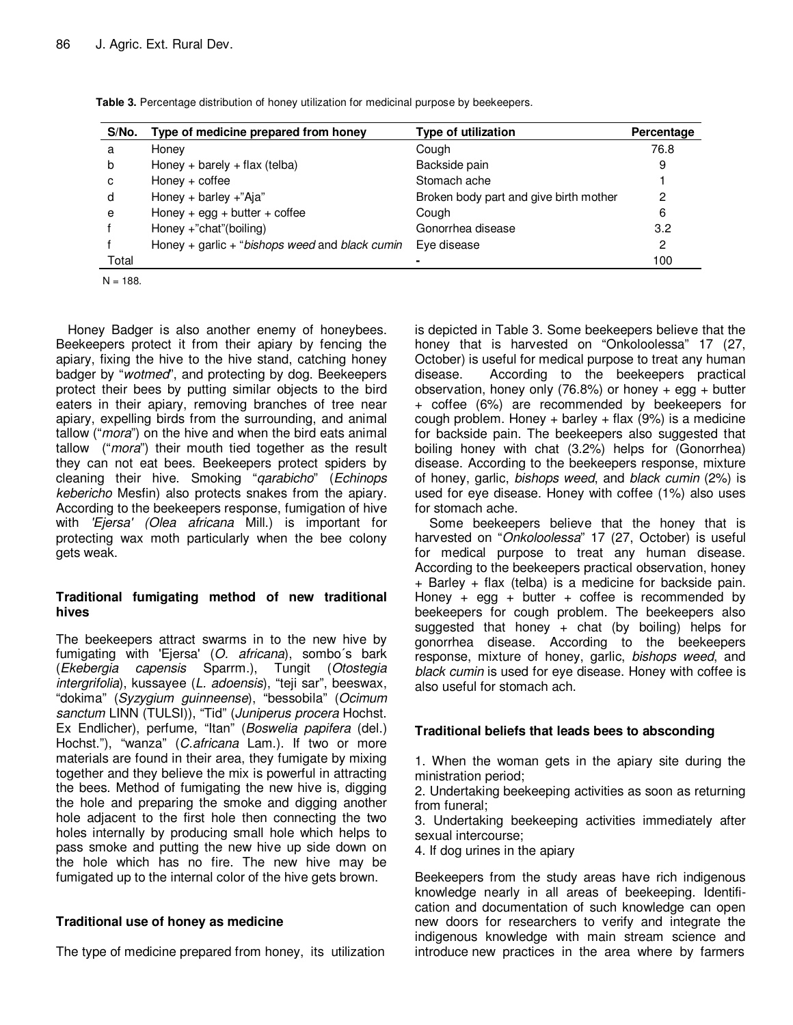| S/No. | Type of medicine prepared from honey           | Type of utilization                    | Percentage |
|-------|------------------------------------------------|----------------------------------------|------------|
| a     | Honey                                          | Cough                                  | 76.8       |
| b     | Honey + barely + flax (telba)                  | Backside pain                          | 9          |
| C     | $Honey + coffee$                               | Stomach ache                           |            |
| d     | Honey + barley +"Aja"                          | Broken body part and give birth mother | 2          |
| e     | Honey + egg + butter + coffee                  | Cough                                  | 6          |
|       | Honey +"chat"(boiling)                         | Gonorrhea disease                      | 3.2        |
|       | Honey + garlic + "bishops weed and black cumin | Eye disease                            | 2          |
| Total |                                                |                                        | 100        |

**Table 3.** Percentage distribution of honey utilization for medicinal purpose by beekeepers.

 $N = 188.$ 

Honey Badger is also another enemy of honeybees. Beekeepers protect it from their apiary by fencing the apiary, fixing the hive to the hive stand, catching honey badger by "wotmed", and protecting by dog. Beekeepers protect their bees by putting similar objects to the bird eaters in their apiary, removing branches of tree near apiary, expelling birds from the surrounding, and animal tallow ("*mora*") on the hive and when the bird eats animal tallow ("mora") their mouth tied together as the result they can not eat bees. Beekeepers protect spiders by cleaning their hive. Smoking "qarabicho" (Echinops kebericho Mesfin) also protects snakes from the apiary. According to the beekeepers response, fumigation of hive with 'Ejersa' (Olea africana Mill.) is important for protecting wax moth particularly when the bee colony gets weak.

# **Traditional fumigating method of new traditional hives**

The beekeepers attract swarms in to the new hive by fumigating with 'Ejersa' (O. africana), sombo´s bark (Ekebergia capensis Sparrm.), Tungit (Otostegia intergrifolia), kussayee (L. adoensis), "teji sar", beeswax, "dokima" (Syzygium guinneense), "bessobila" (Ocimum sanctum LINN (TULSI)), "Tid" (Juniperus procera Hochst. Ex Endlicher), perfume, "Itan" (Boswelia papifera (del.) Hochst."), "wanza" (C.africana Lam.). If two or more materials are found in their area, they fumigate by mixing together and they believe the mix is powerful in attracting the bees. Method of fumigating the new hive is, digging the hole and preparing the smoke and digging another hole adjacent to the first hole then connecting the two holes internally by producing small hole which helps to pass smoke and putting the new hive up side down on the hole which has no fire. The new hive may be fumigated up to the internal color of the hive gets brown.

# **Traditional use of honey as medicine**

The type of medicine prepared from honey, its utilization

is depicted in Table 3. Some beekeepers believe that the honey that is harvested on "Onkoloolessa" 17 (27, October) is useful for medical purpose to treat any human disease. According to the beekeepers practical observation, honey only (76.8%) or honey  $+$  egg  $+$  butter + coffee (6%) are recommended by beekeepers for cough problem. Honey  $+$  barley  $+$  flax (9%) is a medicine for backside pain. The beekeepers also suggested that boiling honey with chat (3.2%) helps for (Gonorrhea) disease. According to the beekeepers response, mixture of honey, garlic, bishops weed, and black cumin (2%) is used for eye disease. Honey with coffee (1%) also uses for stomach ache.

Some beekeepers believe that the honey that is harvested on "Onkoloolessa" 17 (27, October) is useful for medical purpose to treat any human disease. According to the beekeepers practical observation, honey + Barley + flax (telba) is a medicine for backside pain. Honey + egg + butter + coffee is recommended by beekeepers for cough problem. The beekeepers also suggested that honey  $+$  chat (by boiling) helps for gonorrhea disease. According to the beekeepers response, mixture of honey, garlic, bishops weed, and black cumin is used for eye disease. Honey with coffee is also useful for stomach ach.

# **Traditional beliefs that leads bees to absconding**

1. When the woman gets in the apiary site during the ministration period;

2. Undertaking beekeeping activities as soon as returning from funeral;

3. Undertaking beekeeping activities immediately after sexual intercourse;

4. If dog urines in the apiary

Beekeepers from the study areas have rich indigenous knowledge nearly in all areas of beekeeping. Identification and documentation of such knowledge can open new doors for researchers to verify and integrate the indigenous knowledge with main stream science and introduce new practices in the area where by farmers